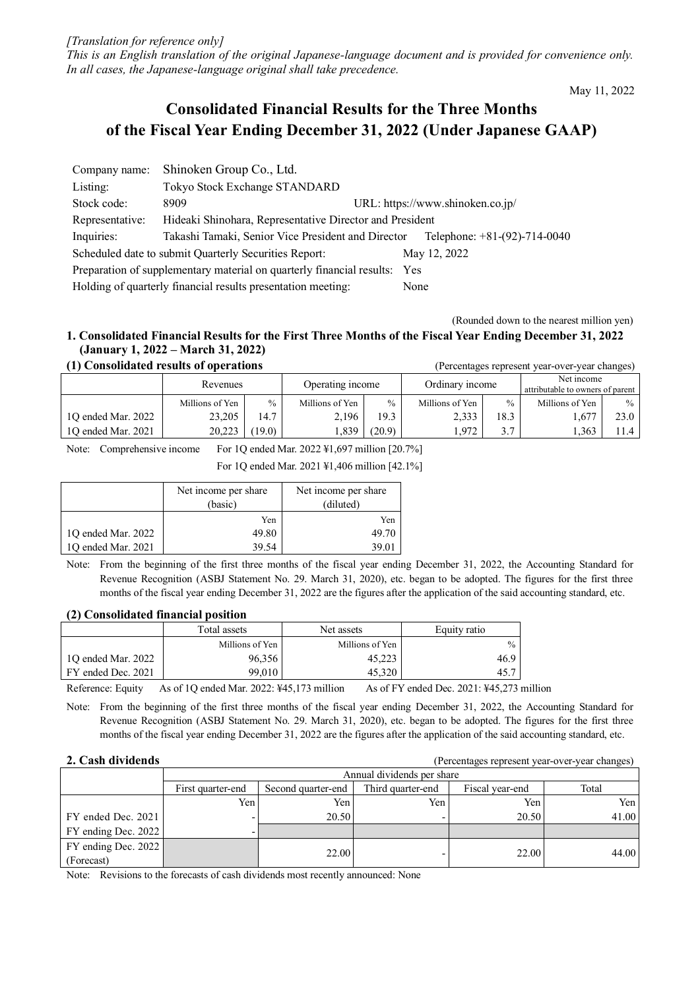*[Translation for reference only] This is an English translation of the original Japanese-language document and is provided for convenience only. In all cases, the Japanese-language original shall take precedence.*

May 11, 2022

# **Consolidated Financial Results for the Three Months of the Fiscal Year Ending December 31, 2022 (Under Japanese GAAP)**

| Company name:                                                                | Shinoken Group Co., Ltd.                                                             |  |  |  |  |
|------------------------------------------------------------------------------|--------------------------------------------------------------------------------------|--|--|--|--|
| Listing:                                                                     | Tokyo Stock Exchange STANDARD                                                        |  |  |  |  |
| Stock code:                                                                  | URL: https://www.shinoken.co.jp/<br>8909                                             |  |  |  |  |
| Representative:                                                              | Hideaki Shinohara, Representative Director and President                             |  |  |  |  |
| Inquiries:                                                                   | Takashi Tamaki, Senior Vice President and Director<br>Telephone: $+81-(92)-714-0040$ |  |  |  |  |
|                                                                              | Scheduled date to submit Quarterly Securities Report:<br>May 12, 2022                |  |  |  |  |
| Preparation of supplementary material on quarterly financial results:<br>Yes |                                                                                      |  |  |  |  |
|                                                                              | Holding of quarterly financial results presentation meeting:<br>None                 |  |  |  |  |

(Rounded down to the nearest million yen)

# **1. Consolidated Financial Results for the First Three Months of the Fiscal Year Ending December 31, 2022 (January 1, 2022 – March 31, 2022) (1) Consolidated results of operations** (Percentages represent year-over-year changes)

| (1) Consonuattu results of operations<br>(1 Creditages represent year-over-year changes) |                 |        |                  |               |                 |               |                                                |               |
|------------------------------------------------------------------------------------------|-----------------|--------|------------------|---------------|-----------------|---------------|------------------------------------------------|---------------|
|                                                                                          | Revenues        |        | Operating income |               | Ordinary income |               | Net income<br>attributable to owners of parent |               |
|                                                                                          | Millions of Yen | $\%$   | Millions of Yen  | $\frac{0}{0}$ | Millions of Yen | $\frac{0}{0}$ | Millions of Yen                                | $\frac{0}{0}$ |
| 10 ended Mar. 2022                                                                       | 23,205          | 14.7   | 2.196            | 19.3          | 2,333           | 18.3          | .677                                           | 23.0          |
| 10 ended Mar. 2021                                                                       | 20.223          | (19.0) | .339             | (20.9)        | 1.972           | 3.7           | .363                                           | .1.4          |

Note: Comprehensive income For 1Q ended Mar. 2022 ¥1,697 million [20.7%]

For 1Q ended Mar. 2021 ¥1,406 million [42.1%]

|                    | Net income per share<br>(basic) | Net income per share<br>(diluted) |  |
|--------------------|---------------------------------|-----------------------------------|--|
|                    | Yen                             | Yen                               |  |
| 1Q ended Mar. 2022 | 49.80                           | 49.70                             |  |
| 10 ended Mar. 2021 | 39.54                           | 39.01                             |  |

Note: From the beginning of the first three months of the fiscal year ending December 31, 2022, the Accounting Standard for Revenue Recognition (ASBJ Statement No. 29. March 31, 2020), etc. began to be adopted. The figures for the first three months of the fiscal year ending December 31, 2022 are the figures after the application of the said accounting standard, etc.

# **(2) Consolidated financial position**

|                    | Total assets    | Net assets      | Equity ratio  |
|--------------------|-----------------|-----------------|---------------|
|                    | Millions of Yen | Millions of Yen | $\frac{0}{0}$ |
| 10 ended Mar. 2022 | 96,356          | 45,223          | 46.9          |
| FY ended Dec. 2021 | 99.010          | 45.320          | 45.7          |

Reference: Equity As of 10 ended Mar. 2022: ¥45,173 million As of FY ended Dec. 2021: ¥45,273 million

Note: From the beginning of the first three months of the fiscal year ending December 31, 2022, the Accounting Standard for Revenue Recognition (ASBJ Statement No. 29. March 31, 2020), etc. began to be adopted. The figures for the first three months of the fiscal year ending December 31, 2022 are the figures after the application of the said accounting standard, etc.

**2. Cash dividends 2. Cash dividends (Percentages represent year-over-year changes)** 

|                       | Annual dividends per share |                    |                   |                 |       |  |
|-----------------------|----------------------------|--------------------|-------------------|-----------------|-------|--|
|                       | First quarter-end          | Second quarter-end | Third quarter-end | Fiscal year-end | Total |  |
|                       | Yen                        | Yen                | Yen               | Yen             | Yen l |  |
| FY ended Dec. 2021    |                            | 20.50              |                   | 20.50           | 41.00 |  |
| $FY$ ending Dec. 2022 |                            |                    |                   |                 |       |  |
| $FY$ ending Dec. 2022 |                            |                    |                   |                 | 44.00 |  |
| (Forecast)            |                            | 22.00              |                   | 22.00           |       |  |

Note: Revisions to the forecasts of cash dividends most recently announced: None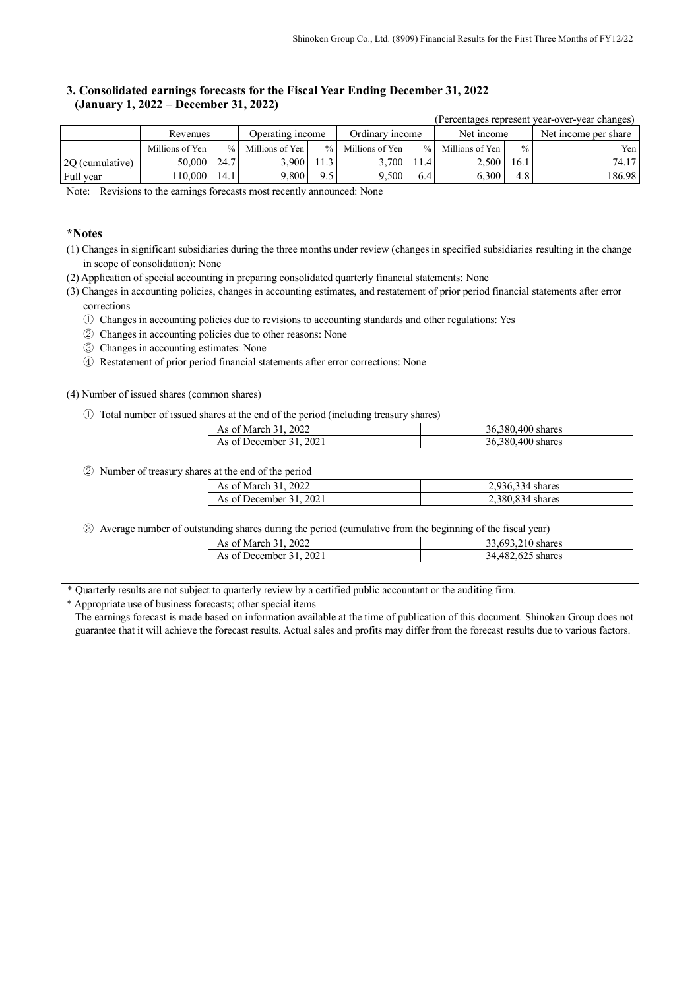# **3. Consolidated earnings forecasts for the Fiscal Year Ending December 31, 2022 (January 1, 2022 – December 31, 2022)**

|                 |                 |      |                  |               |                 |      |                   |                  | (Percentages represent year-over-year changes) |
|-----------------|-----------------|------|------------------|---------------|-----------------|------|-------------------|------------------|------------------------------------------------|
|                 | Revenues        |      | Operating income |               | Ordinary income |      | Net income        |                  | Net income per share                           |
|                 | Millions of Yen | $\%$ | Millions of Yen  | $\frac{0}{0}$ | Millions of Yen |      | % Millions of Yen | $\frac{0}{0}$    | Yen l                                          |
| 2Q (cumulative) | 50,000   24.7   |      | 3.900            | 11.3          | 3.700           | 11.4 | 2,500             | 16.1             | 74.17                                          |
| Full year       | 10,000          | 14.1 | 9.800            | 9.5           | 9.500           | 6.4  | 6.300             | 4.8 <sup>1</sup> | 186.98                                         |

Note: Revisions to the earnings forecasts most recently announced: None

# **\*Notes**

- (1) Changes in significant subsidiaries during the three months under review (changes in specified subsidiaries resulting in the change in scope of consolidation): None
- (2) Application of special accounting in preparing consolidated quarterly financial statements: None
- (3) Changes in accounting policies, changes in accounting estimates, and restatement of prior period financial statements after error corrections
	- ① Changes in accounting policies due to revisions to accounting standards and other regulations: Yes
	- ② Changes in accounting policies due to other reasons: None
	- ③ Changes in accounting estimates: None
	- ④ Restatement of prior period financial statements after error corrections: None

#### (4) Number of issued shares (common shares)

① Total number of issued shares at the end of the period (including treasury shares)

| As of March 31, 2022    | 36,380,400 shares |
|-------------------------|-------------------|
| As of December 31, 2021 | 36,380,400 shares |

② Number of treasury shares at the end of the period

| As of March 31, 2022    | 2.936.334 shares |
|-------------------------|------------------|
| As of December 31, 2021 | 2.380.834 shares |

③ Average number of outstanding shares during the period (cumulative from the beginning of the fiscal year)

| As of March 31, 2022    | 33,693,210 shares |
|-------------------------|-------------------|
| As of December 31, 2021 | 34,482,625 shares |

\* Quarterly results are not subject to quarterly review by a certified public accountant or the auditing firm.

\* Appropriate use of business forecasts; other special items

The earnings forecast is made based on information available at the time of publication of this document. Shinoken Group does not guarantee that it will achieve the forecast results. Actual sales and profits may differ from the forecast results due to various factors.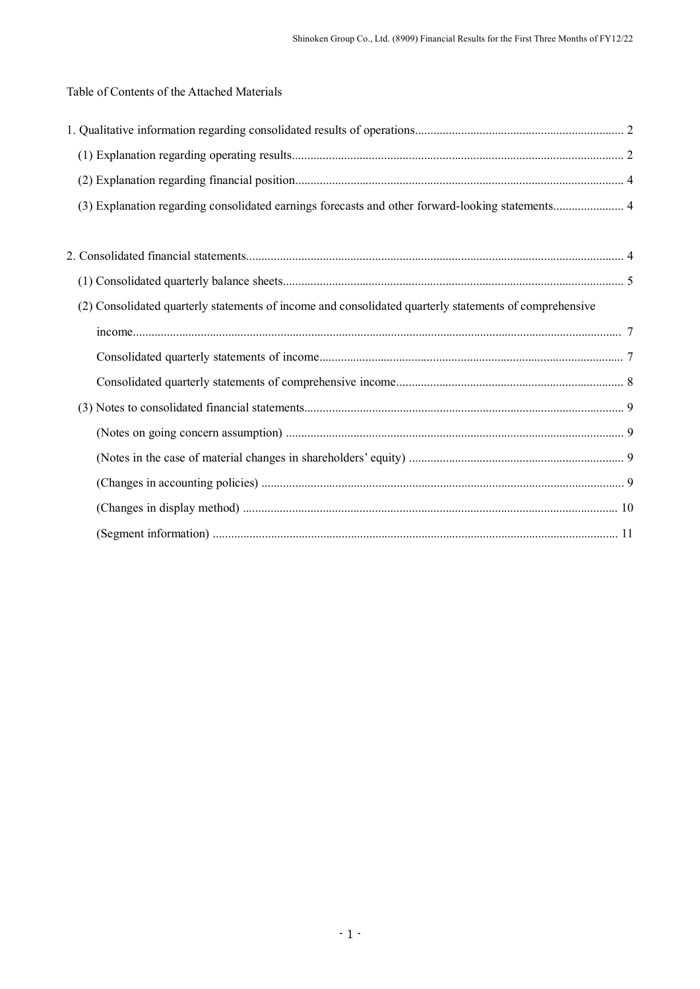Table of Contents of the Attached Materials

| (2) Consolidated quarterly statements of income and consolidated quarterly statements of comprehensive |  |
|--------------------------------------------------------------------------------------------------------|--|
|                                                                                                        |  |
|                                                                                                        |  |
|                                                                                                        |  |
|                                                                                                        |  |
|                                                                                                        |  |
|                                                                                                        |  |
|                                                                                                        |  |
|                                                                                                        |  |
|                                                                                                        |  |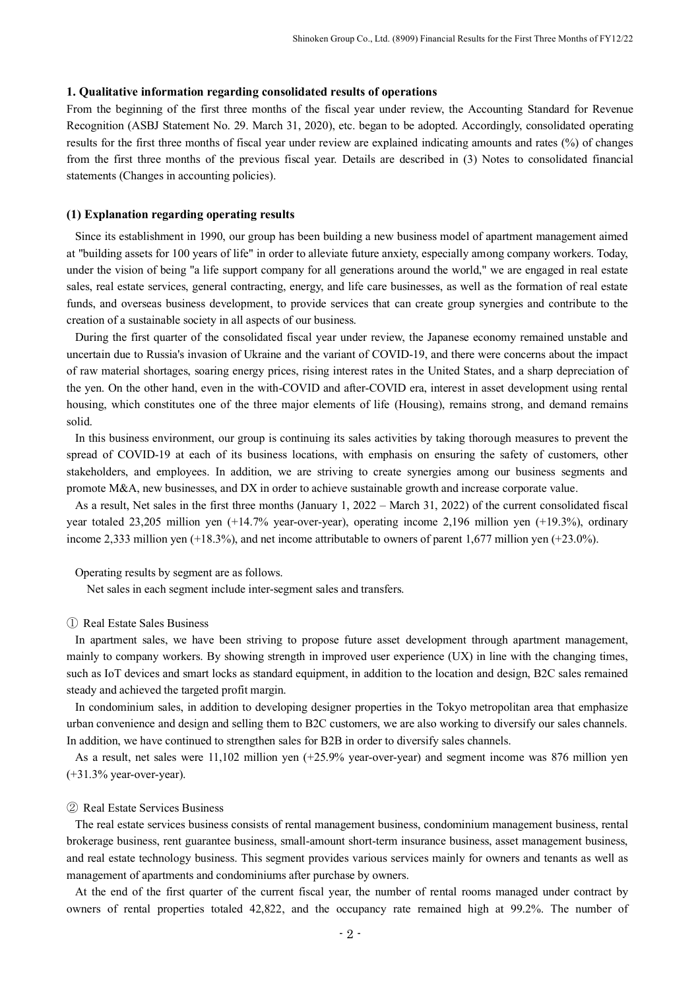#### **1. Qualitative information regarding consolidated results of operations**

From the beginning of the first three months of the fiscal year under review, the Accounting Standard for Revenue Recognition (ASBJ Statement No. 29. March 31, 2020), etc. began to be adopted. Accordingly, consolidated operating results for the first three months of fiscal year under review are explained indicating amounts and rates (%) of changes from the first three months of the previous fiscal year. Details are described in (3) Notes to consolidated financial statements (Changes in accounting policies).

# **(1) Explanation regarding operating results**

Since its establishment in 1990, our group has been building a new business model of apartment management aimed at "building assets for 100 years of life" in order to alleviate future anxiety, especially among company workers. Today, under the vision of being "a life support company for all generations around the world," we are engaged in real estate sales, real estate services, general contracting, energy, and life care businesses, as well as the formation of real estate funds, and overseas business development, to provide services that can create group synergies and contribute to the creation of a sustainable society in all aspects of our business.

During the first quarter of the consolidated fiscal year under review, the Japanese economy remained unstable and uncertain due to Russia's invasion of Ukraine and the variant of COVID-19, and there were concerns about the impact of raw material shortages, soaring energy prices, rising interest rates in the United States, and a sharp depreciation of the yen. On the other hand, even in the with-COVID and after-COVID era, interest in asset development using rental housing, which constitutes one of the three major elements of life (Housing), remains strong, and demand remains solid.

In this business environment, our group is continuing its sales activities by taking thorough measures to prevent the spread of COVID-19 at each of its business locations, with emphasis on ensuring the safety of customers, other stakeholders, and employees. In addition, we are striving to create synergies among our business segments and promote M&A, new businesses, and DX in order to achieve sustainable growth and increase corporate value.

As a result, Net sales in the first three months (January 1, 2022 – March 31, 2022) of the current consolidated fiscal year totaled 23,205 million yen (+14.7% year-over-year), operating income 2,196 million yen (+19.3%), ordinary income 2,333 million yen (+18.3%), and net income attributable to owners of parent 1,677 million yen (+23.0%).

Operating results by segment are as follows.

Net sales in each segment include inter-segment sales and transfers.

## ① Real Estate Sales Business

In apartment sales, we have been striving to propose future asset development through apartment management, mainly to company workers. By showing strength in improved user experience (UX) in line with the changing times, such as IoT devices and smart locks as standard equipment, in addition to the location and design, B2C sales remained steady and achieved the targeted profit margin.

In condominium sales, in addition to developing designer properties in the Tokyo metropolitan area that emphasize urban convenience and design and selling them to B2C customers, we are also working to diversify our sales channels. In addition, we have continued to strengthen sales for B2B in order to diversify sales channels.

As a result, net sales were 11,102 million yen (+25.9% year-over-year) and segment income was 876 million yen  $(+31.3\%$  year-over-year).

#### ② Real Estate Services Business

The real estate services business consists of rental management business, condominium management business, rental brokerage business, rent guarantee business, small-amount short-term insurance business, asset management business, and real estate technology business. This segment provides various services mainly for owners and tenants as well as management of apartments and condominiums after purchase by owners.

At the end of the first quarter of the current fiscal year, the number of rental rooms managed under contract by owners of rental properties totaled 42,822, and the occupancy rate remained high at 99.2%. The number of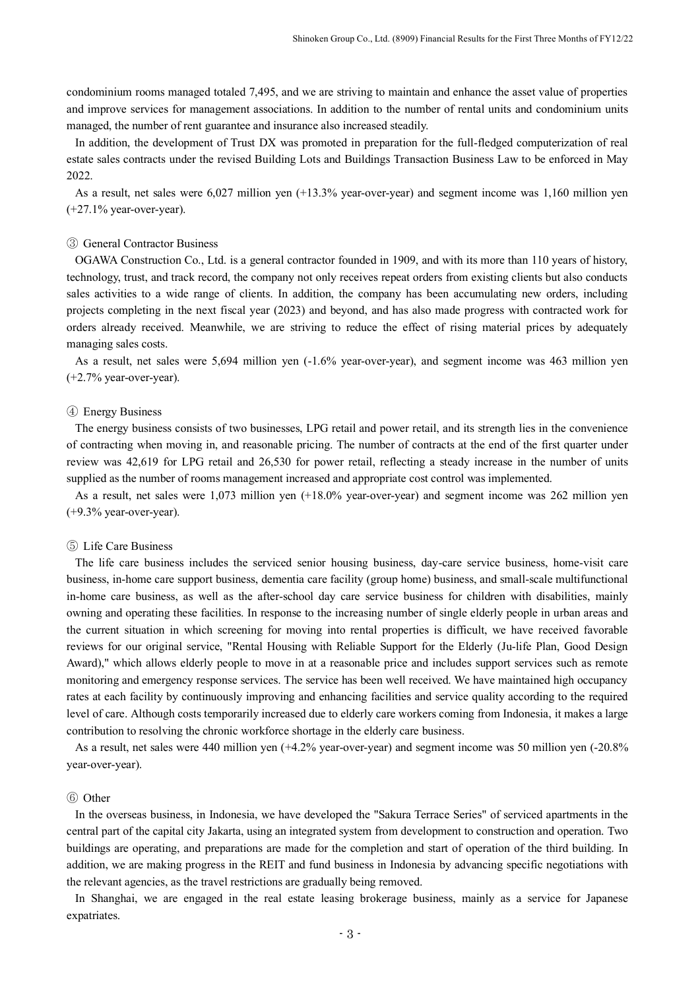condominium rooms managed totaled 7,495, and we are striving to maintain and enhance the asset value of properties and improve services for management associations. In addition to the number of rental units and condominium units managed, the number of rent guarantee and insurance also increased steadily.

In addition, the development of Trust DX was promoted in preparation for the full-fledged computerization of real estate sales contracts under the revised Building Lots and Buildings Transaction Business Law to be enforced in May 2022.

As a result, net sales were 6,027 million yen (+13.3% year-over-year) and segment income was 1,160 million yen  $(+27.1\%$  year-over-year).

#### ③ General Contractor Business

OGAWA Construction Co., Ltd. is a general contractor founded in 1909, and with its more than 110 years of history, technology, trust, and track record, the company not only receives repeat orders from existing clients but also conducts sales activities to a wide range of clients. In addition, the company has been accumulating new orders, including projects completing in the next fiscal year (2023) and beyond, and has also made progress with contracted work for orders already received. Meanwhile, we are striving to reduce the effect of rising material prices by adequately managing sales costs.

As a result, net sales were 5,694 million yen (-1.6% year-over-year), and segment income was 463 million yen (+2.7% year-over-year).

#### ④ Energy Business

The energy business consists of two businesses, LPG retail and power retail, and its strength lies in the convenience of contracting when moving in, and reasonable pricing. The number of contracts at the end of the first quarter under review was 42,619 for LPG retail and 26,530 for power retail, reflecting a steady increase in the number of units supplied as the number of rooms management increased and appropriate cost control was implemented.

As a result, net sales were 1,073 million yen (+18.0% year-over-year) and segment income was 262 million yen (+9.3% year-over-year).

#### ⑤ Life Care Business

The life care business includes the serviced senior housing business, day-care service business, home-visit care business, in-home care support business, dementia care facility (group home) business, and small-scale multifunctional in-home care business, as well as the after-school day care service business for children with disabilities, mainly owning and operating these facilities. In response to the increasing number of single elderly people in urban areas and the current situation in which screening for moving into rental properties is difficult, we have received favorable reviews for our original service, "Rental Housing with Reliable Support for the Elderly (Ju-life Plan, Good Design Award)," which allows elderly people to move in at a reasonable price and includes support services such as remote monitoring and emergency response services. The service has been well received. We have maintained high occupancy rates at each facility by continuously improving and enhancing facilities and service quality according to the required level of care. Although costs temporarily increased due to elderly care workers coming from Indonesia, it makes a large contribution to resolving the chronic workforce shortage in the elderly care business.

As a result, net sales were 440 million yen (+4.2% year-over-year) and segment income was 50 million yen (-20.8% year-over-year).

# ⑥ Other

In the overseas business, in Indonesia, we have developed the "Sakura Terrace Series" of serviced apartments in the central part of the capital city Jakarta, using an integrated system from development to construction and operation. Two buildings are operating, and preparations are made for the completion and start of operation of the third building. In addition, we are making progress in the REIT and fund business in Indonesia by advancing specific negotiations with the relevant agencies, as the travel restrictions are gradually being removed.

In Shanghai, we are engaged in the real estate leasing brokerage business, mainly as a service for Japanese expatriates.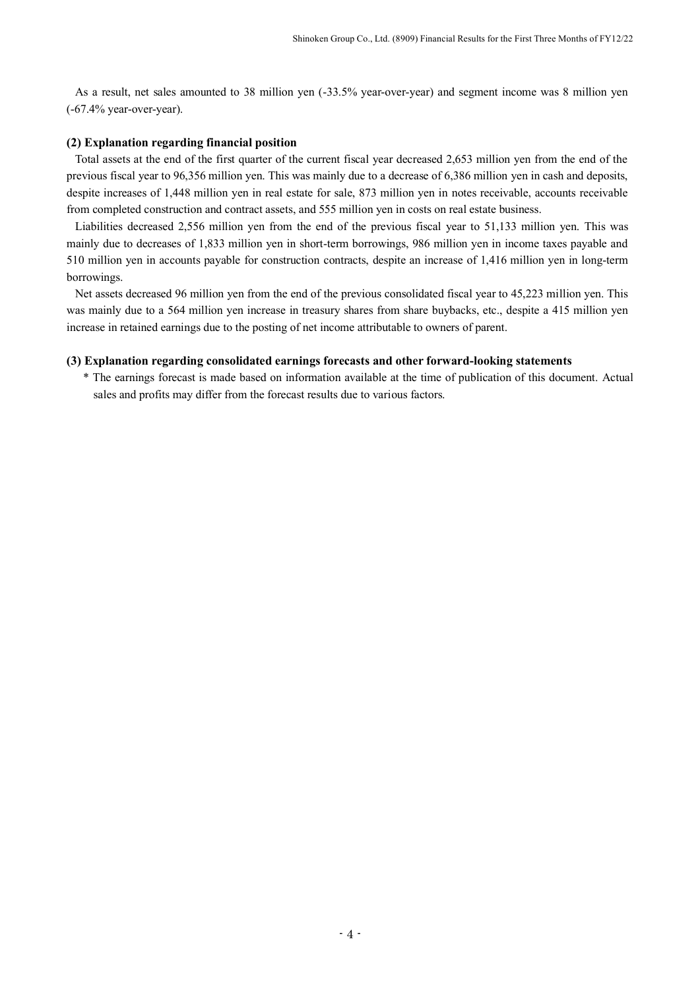As a result, net sales amounted to 38 million yen (-33.5% year-over-year) and segment income was 8 million yen (-67.4% year-over-year).

# **(2) Explanation regarding financial position**

Total assets at the end of the first quarter of the current fiscal year decreased 2,653 million yen from the end of the previous fiscal year to 96,356 million yen. This was mainly due to a decrease of 6,386 million yen in cash and deposits, despite increases of 1,448 million yen in real estate for sale, 873 million yen in notes receivable, accounts receivable from completed construction and contract assets, and 555 million yen in costs on real estate business.

Liabilities decreased 2,556 million yen from the end of the previous fiscal year to 51,133 million yen. This was mainly due to decreases of 1,833 million yen in short-term borrowings, 986 million yen in income taxes payable and 510 million yen in accounts payable for construction contracts, despite an increase of 1,416 million yen in long-term borrowings.

Net assets decreased 96 million yen from the end of the previous consolidated fiscal year to 45,223 million yen. This was mainly due to a 564 million yen increase in treasury shares from share buybacks, etc., despite a 415 million yen increase in retained earnings due to the posting of net income attributable to owners of parent.

## **(3) Explanation regarding consolidated earnings forecasts and other forward-looking statements**

\* The earnings forecast is made based on information available at the time of publication of this document. Actual sales and profits may differ from the forecast results due to various factors.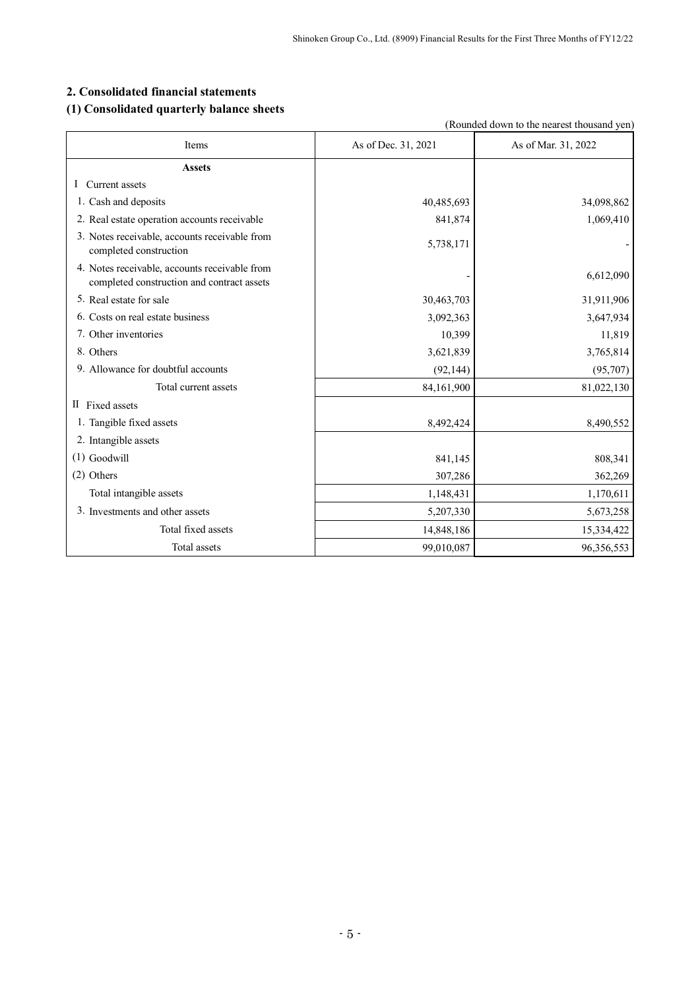# **2. Consolidated financial statements**

# **(1) Consolidated quarterly balance sheets**

|                                                                                             |                     | (Rounded down to the nearest thousand yen) |
|---------------------------------------------------------------------------------------------|---------------------|--------------------------------------------|
| Items                                                                                       | As of Dec. 31, 2021 | As of Mar. 31, 2022                        |
| <b>Assets</b>                                                                               |                     |                                            |
| I Current assets                                                                            |                     |                                            |
| 1. Cash and deposits                                                                        | 40,485,693          | 34,098,862                                 |
| 2. Real estate operation accounts receivable                                                | 841,874             | 1,069,410                                  |
| 3. Notes receivable, accounts receivable from<br>completed construction                     | 5,738,171           |                                            |
| 4. Notes receivable, accounts receivable from<br>completed construction and contract assets |                     | 6,612,090                                  |
| 5. Real estate for sale                                                                     | 30,463,703          | 31,911,906                                 |
| 6. Costs on real estate business                                                            | 3,092,363           | 3,647,934                                  |
| 7. Other inventories                                                                        | 10,399              | 11,819                                     |
| 8. Others                                                                                   | 3,621,839           | 3,765,814                                  |
| 9. Allowance for doubtful accounts                                                          | (92, 144)           | (95,707)                                   |
| Total current assets                                                                        | 84,161,900          | 81,022,130                                 |
| II Fixed assets                                                                             |                     |                                            |
| 1. Tangible fixed assets                                                                    | 8,492,424           | 8,490,552                                  |
| 2. Intangible assets                                                                        |                     |                                            |
| $(1)$ Goodwill                                                                              | 841,145             | 808,341                                    |
| $(2)$ Others                                                                                | 307,286             | 362,269                                    |
| Total intangible assets                                                                     | 1,148,431           | 1,170,611                                  |
| 3. Investments and other assets                                                             | 5,207,330           | 5,673,258                                  |
| Total fixed assets                                                                          | 14,848,186          | 15,334,422                                 |
| Total assets                                                                                | 99,010,087          | 96,356,553                                 |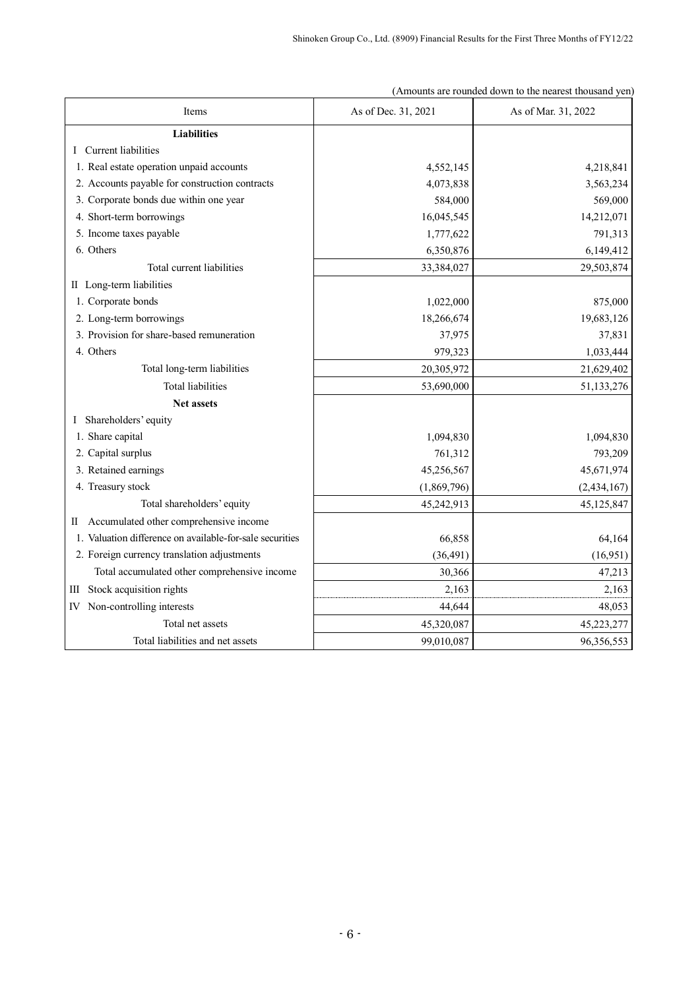| Items                                                    | As of Dec. 31, 2021 | As of Mar. 31, 2022 |  |
|----------------------------------------------------------|---------------------|---------------------|--|
| <b>Liabilities</b>                                       |                     |                     |  |
| I Current liabilities                                    |                     |                     |  |
| 1. Real estate operation unpaid accounts                 | 4,552,145           | 4,218,841           |  |
| 2. Accounts payable for construction contracts           | 4,073,838           | 3,563,234           |  |
| 3. Corporate bonds due within one year                   | 584,000             | 569,000             |  |
| 4. Short-term borrowings                                 | 16,045,545          | 14,212,071          |  |
| 5. Income taxes payable                                  | 1,777,622           | 791,313             |  |
| 6. Others                                                | 6,350,876           | 6,149,412           |  |
| Total current liabilities                                | 33,384,027          | 29,503,874          |  |
| II Long-term liabilities                                 |                     |                     |  |
| 1. Corporate bonds                                       | 1,022,000           | 875,000             |  |
| 2. Long-term borrowings                                  | 18,266,674          | 19,683,126          |  |
| 3. Provision for share-based remuneration                | 37,975              | 37,831              |  |
| 4. Others                                                | 979,323             | 1,033,444           |  |
| Total long-term liabilities                              | 20,305,972          | 21,629,402          |  |
| <b>Total liabilities</b>                                 | 53,690,000          | 51,133,276          |  |
| Net assets                                               |                     |                     |  |
| I Shareholders' equity                                   |                     |                     |  |
| 1. Share capital                                         | 1,094,830           | 1,094,830           |  |
| 2. Capital surplus                                       | 761,312             | 793,209             |  |
| 3. Retained earnings                                     | 45,256,567          | 45,671,974          |  |
| 4. Treasury stock                                        | (1,869,796)         | (2, 434, 167)       |  |
| Total shareholders' equity                               | 45,242,913          | 45,125,847          |  |
| II Accumulated other comprehensive income                |                     |                     |  |
| 1. Valuation difference on available-for-sale securities | 66,858              | 64,164              |  |
| 2. Foreign currency translation adjustments              | (36, 491)           | (16,951)            |  |
| Total accumulated other comprehensive income             | 30,366              | 47,213              |  |
| III Stock acquisition rights                             | 2,163               | 2,163               |  |
| IV Non-controlling interests                             | 44,644              | 48,053              |  |
| Total net assets                                         | 45,320,087          | 45,223,277          |  |
| Total liabilities and net assets                         | 99,010,087          | 96,356,553          |  |

(Amounts are rounded down to the nearest thousand yen)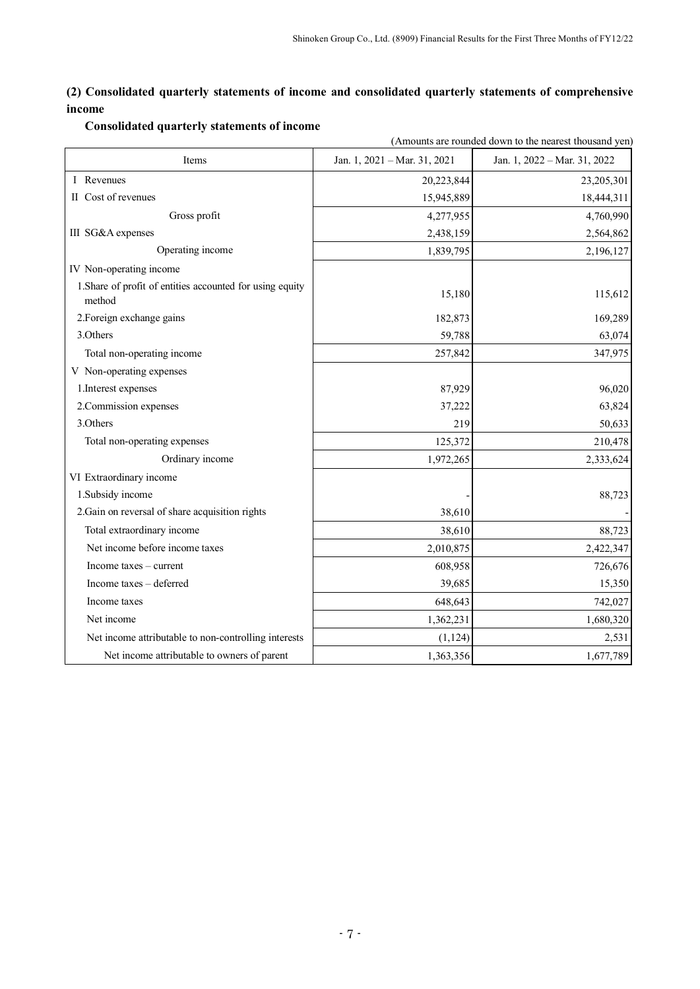# **(2) Consolidated quarterly statements of income and consolidated quarterly statements of comprehensive income**

|                                                                     | (Amounts are rounded down to the nearest thousand yen) |                              |  |  |  |  |
|---------------------------------------------------------------------|--------------------------------------------------------|------------------------------|--|--|--|--|
| Items                                                               | Jan. 1, 2021 - Mar. 31, 2021                           | Jan. 1, 2022 - Mar. 31, 2022 |  |  |  |  |
| I Revenues                                                          | 20,223,844                                             | 23,205,301                   |  |  |  |  |
| II Cost of revenues                                                 | 15,945,889                                             | 18,444,311                   |  |  |  |  |
| Gross profit                                                        | 4,277,955                                              | 4,760,990                    |  |  |  |  |
| III SG&A expenses                                                   | 2,438,159                                              | 2,564,862                    |  |  |  |  |
| Operating income                                                    | 1,839,795                                              | 2,196,127                    |  |  |  |  |
| IV Non-operating income                                             |                                                        |                              |  |  |  |  |
| 1. Share of profit of entities accounted for using equity<br>method | 15,180                                                 | 115,612                      |  |  |  |  |
| 2. Foreign exchange gains                                           | 182,873                                                | 169,289                      |  |  |  |  |
| 3.Others                                                            | 59,788                                                 | 63,074                       |  |  |  |  |
| Total non-operating income                                          | 257,842                                                | 347,975                      |  |  |  |  |
| V Non-operating expenses                                            |                                                        |                              |  |  |  |  |
| 1. Interest expenses                                                | 87,929                                                 | 96,020                       |  |  |  |  |
| 2. Commission expenses                                              | 37,222                                                 | 63,824                       |  |  |  |  |
| 3.Others                                                            | 219                                                    | 50,633                       |  |  |  |  |
| Total non-operating expenses                                        | 125,372                                                | 210,478                      |  |  |  |  |
| Ordinary income                                                     | 1,972,265                                              | 2,333,624                    |  |  |  |  |
| VI Extraordinary income                                             |                                                        |                              |  |  |  |  |
| 1.Subsidy income                                                    |                                                        | 88,723                       |  |  |  |  |
| 2. Gain on reversal of share acquisition rights                     | 38,610                                                 |                              |  |  |  |  |
| Total extraordinary income                                          | 38,610                                                 | 88,723                       |  |  |  |  |
| Net income before income taxes                                      | 2,010,875                                              | 2,422,347                    |  |  |  |  |
| Income taxes – current                                              | 608,958                                                | 726,676                      |  |  |  |  |
| Income taxes - deferred                                             | 39,685                                                 | 15,350                       |  |  |  |  |
| Income taxes                                                        | 648,643                                                | 742,027                      |  |  |  |  |
| Net income                                                          | 1,362,231                                              | 1,680,320                    |  |  |  |  |
| Net income attributable to non-controlling interests                | (1, 124)                                               | 2,531                        |  |  |  |  |
| Net income attributable to owners of parent                         | 1,363,356                                              | 1,677,789                    |  |  |  |  |

# **Consolidated quarterly statements of income**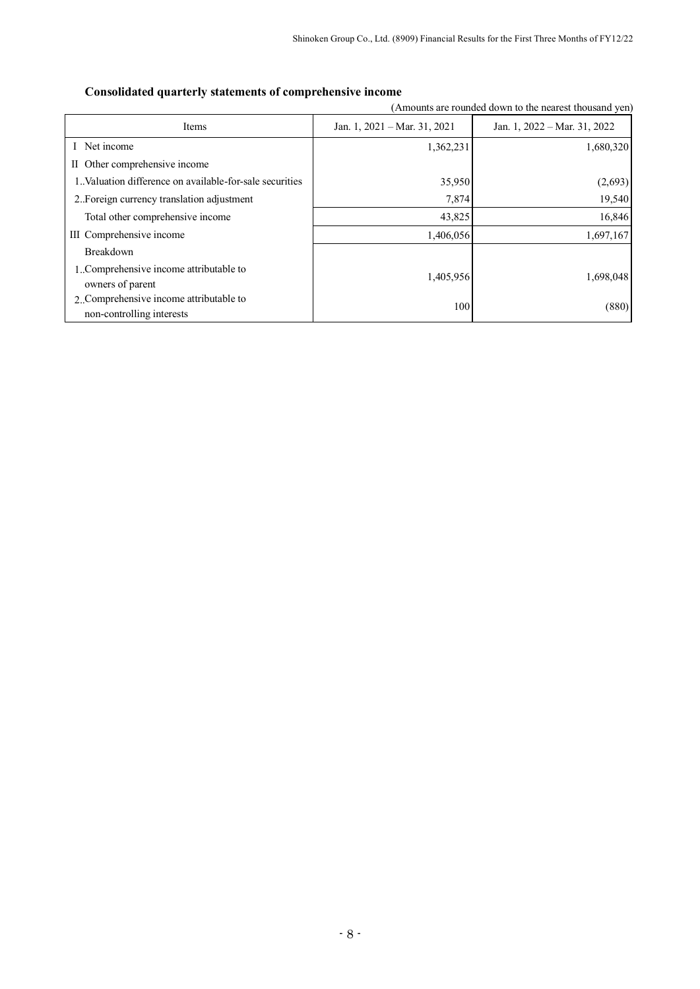# **Consolidated quarterly statements of comprehensive income**

(Amounts are rounded down to the nearest thousand yen)

| Items                                                    | Jan. 1, $2021 - \text{Mar. } 31, 2021$ | Jan. 1, 2022 - Mar. 31, 2022 |  |  |
|----------------------------------------------------------|----------------------------------------|------------------------------|--|--|
| Net income                                               | 1,362,231                              | 1,680,320                    |  |  |
| II Other comprehensive income                            |                                        |                              |  |  |
| 1. Valuation difference on available-for-sale securities | 35,950                                 | (2,693)                      |  |  |
| 2. Foreign currency translation adjustment               | 7,874                                  | 19,540                       |  |  |
| Total other comprehensive income                         | 43,825                                 | 16,846                       |  |  |
| III Comprehensive income                                 | 1,406,056                              | 1,697,167                    |  |  |
| <b>Breakdown</b>                                         |                                        |                              |  |  |
| 1. Comprehensive income attributable to                  | 1,405,956                              | 1,698,048                    |  |  |
| owners of parent                                         |                                        |                              |  |  |
| 2. Comprehensive income attributable to                  | 100                                    | (880)                        |  |  |
| non-controlling interests                                |                                        |                              |  |  |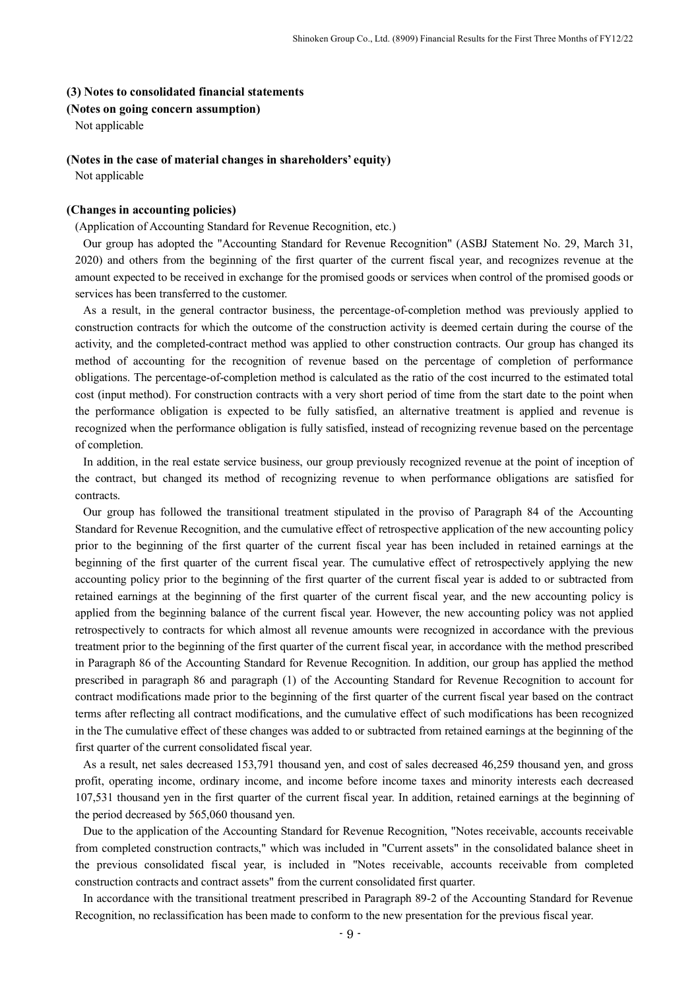#### **(3) Notes to consolidated financial statements**

#### **(Notes on going concern assumption)**

Not applicable

## **(Notes in the case of material changes in shareholders' equity)**

Not applicable

#### **(Changes in accounting policies)**

#### (Application of Accounting Standard for Revenue Recognition, etc.)

Our group has adopted the "Accounting Standard for Revenue Recognition" (ASBJ Statement No. 29, March 31, 2020) and others from the beginning of the first quarter of the current fiscal year, and recognizes revenue at the amount expected to be received in exchange for the promised goods or services when control of the promised goods or services has been transferred to the customer.

As a result, in the general contractor business, the percentage-of-completion method was previously applied to construction contracts for which the outcome of the construction activity is deemed certain during the course of the activity, and the completed-contract method was applied to other construction contracts. Our group has changed its method of accounting for the recognition of revenue based on the percentage of completion of performance obligations. The percentage-of-completion method is calculated as the ratio of the cost incurred to the estimated total cost (input method). For construction contracts with a very short period of time from the start date to the point when the performance obligation is expected to be fully satisfied, an alternative treatment is applied and revenue is recognized when the performance obligation is fully satisfied, instead of recognizing revenue based on the percentage of completion.

In addition, in the real estate service business, our group previously recognized revenue at the point of inception of the contract, but changed its method of recognizing revenue to when performance obligations are satisfied for contracts.

Our group has followed the transitional treatment stipulated in the proviso of Paragraph 84 of the Accounting Standard for Revenue Recognition, and the cumulative effect of retrospective application of the new accounting policy prior to the beginning of the first quarter of the current fiscal year has been included in retained earnings at the beginning of the first quarter of the current fiscal year. The cumulative effect of retrospectively applying the new accounting policy prior to the beginning of the first quarter of the current fiscal year is added to or subtracted from retained earnings at the beginning of the first quarter of the current fiscal year, and the new accounting policy is applied from the beginning balance of the current fiscal year. However, the new accounting policy was not applied retrospectively to contracts for which almost all revenue amounts were recognized in accordance with the previous treatment prior to the beginning of the first quarter of the current fiscal year, in accordance with the method prescribed in Paragraph 86 of the Accounting Standard for Revenue Recognition. In addition, our group has applied the method prescribed in paragraph 86 and paragraph (1) of the Accounting Standard for Revenue Recognition to account for contract modifications made prior to the beginning of the first quarter of the current fiscal year based on the contract terms after reflecting all contract modifications, and the cumulative effect of such modifications has been recognized in the The cumulative effect of these changes was added to or subtracted from retained earnings at the beginning of the first quarter of the current consolidated fiscal year.

As a result, net sales decreased 153,791 thousand yen, and cost of sales decreased 46,259 thousand yen, and gross profit, operating income, ordinary income, and income before income taxes and minority interests each decreased 107,531 thousand yen in the first quarter of the current fiscal year. In addition, retained earnings at the beginning of the period decreased by 565,060 thousand yen.

Due to the application of the Accounting Standard for Revenue Recognition, "Notes receivable, accounts receivable from completed construction contracts," which was included in "Current assets" in the consolidated balance sheet in the previous consolidated fiscal year, is included in "Notes receivable, accounts receivable from completed construction contracts and contract assets" from the current consolidated first quarter.

In accordance with the transitional treatment prescribed in Paragraph 89-2 of the Accounting Standard for Revenue Recognition, no reclassification has been made to conform to the new presentation for the previous fiscal year.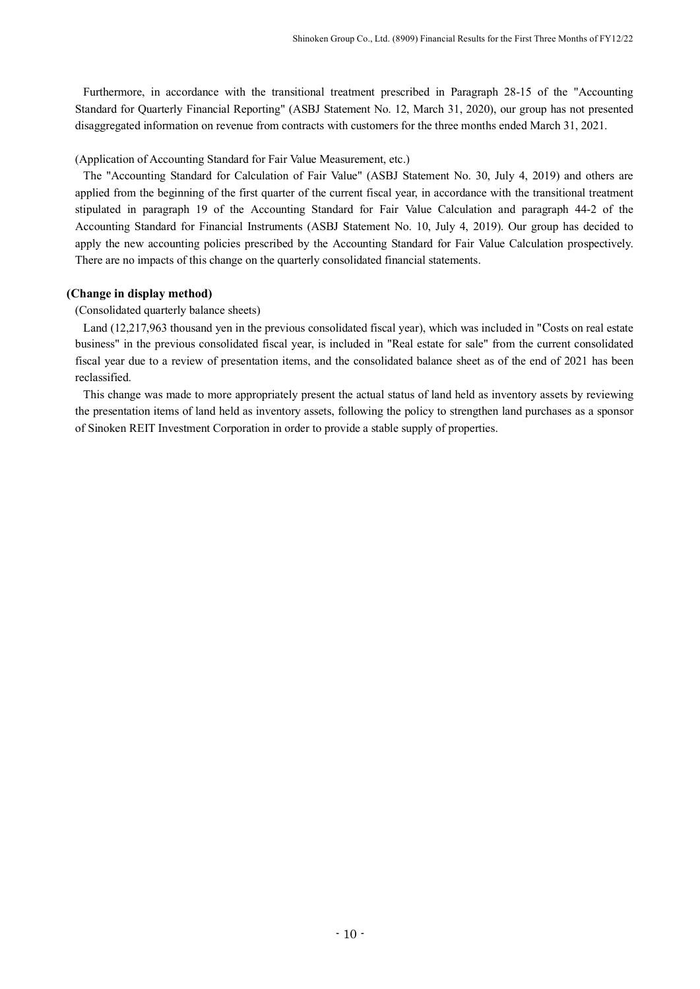Furthermore, in accordance with the transitional treatment prescribed in Paragraph 28-15 of the "Accounting Standard for Quarterly Financial Reporting" (ASBJ Statement No. 12, March 31, 2020), our group has not presented disaggregated information on revenue from contracts with customers for the three months ended March 31, 2021.

(Application of Accounting Standard for Fair Value Measurement, etc.)

The "Accounting Standard for Calculation of Fair Value" (ASBJ Statement No. 30, July 4, 2019) and others are applied from the beginning of the first quarter of the current fiscal year, in accordance with the transitional treatment stipulated in paragraph 19 of the Accounting Standard for Fair Value Calculation and paragraph 44-2 of the Accounting Standard for Financial Instruments (ASBJ Statement No. 10, July 4, 2019). Our group has decided to apply the new accounting policies prescribed by the Accounting Standard for Fair Value Calculation prospectively. There are no impacts of this change on the quarterly consolidated financial statements.

# **(Change in display method)**

# (Consolidated quarterly balance sheets)

Land (12,217,963 thousand yen in the previous consolidated fiscal year), which was included in "Costs on real estate business" in the previous consolidated fiscal year, is included in "Real estate for sale" from the current consolidated fiscal year due to a review of presentation items, and the consolidated balance sheet as of the end of 2021 has been reclassified.

This change was made to more appropriately present the actual status of land held as inventory assets by reviewing the presentation items of land held as inventory assets, following the policy to strengthen land purchases as a sponsor of Sinoken REIT Investment Corporation in order to provide a stable supply of properties.